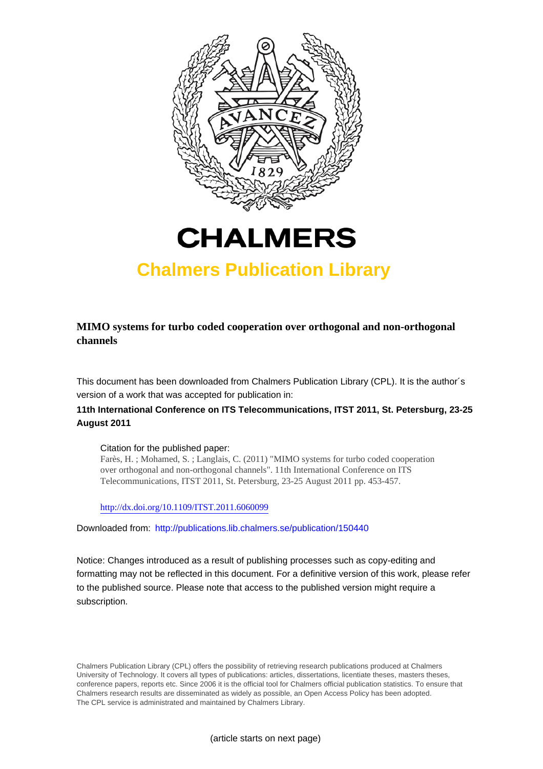



## **Chalmers Publication Library**

**MIMO systems for turbo coded cooperation over orthogonal and non-orthogonal channels**

This document has been downloaded from Chalmers Publication Library (CPL). It is the author´s version of a work that was accepted for publication in:

## **11th International Conference on ITS Telecommunications, ITST 2011, St. Petersburg, 23-25 August 2011**

Citation for the published paper:

Farès, H. ; Mohamed, S. ; Langlais, C. (2011) "MIMO systems for turbo coded cooperation over orthogonal and non-orthogonal channels". 11th International Conference on ITS Telecommunications, ITST 2011, St. Petersburg, 23-25 August 2011 pp. 453-457.

<http://dx.doi.org/10.1109/ITST.2011.6060099>

Downloaded from: <http://publications.lib.chalmers.se/publication/150440>

Notice: Changes introduced as a result of publishing processes such as copy-editing and formatting may not be reflected in this document. For a definitive version of this work, please refer to the published source. Please note that access to the published version might require a subscription.

Chalmers Publication Library (CPL) offers the possibility of retrieving research publications produced at Chalmers University of Technology. It covers all types of publications: articles, dissertations, licentiate theses, masters theses, conference papers, reports etc. Since 2006 it is the official tool for Chalmers official publication statistics. To ensure that Chalmers research results are disseminated as widely as possible, an Open Access Policy has been adopted. The CPL service is administrated and maintained by Chalmers Library.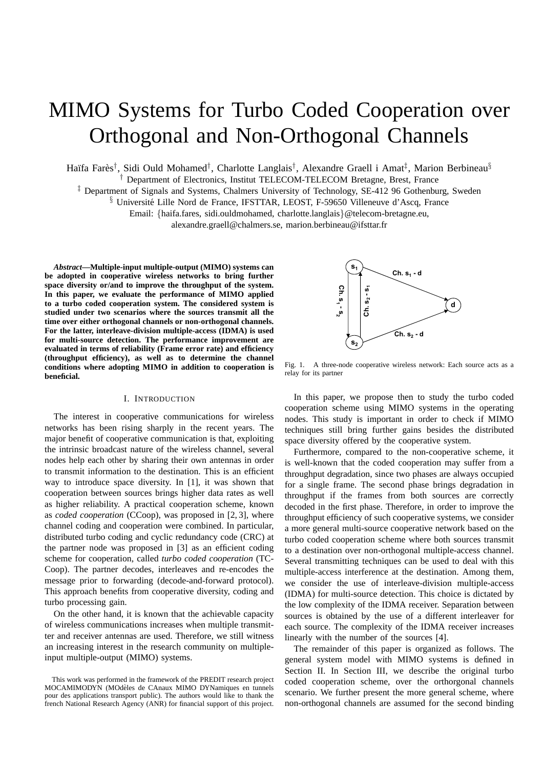# MIMO Systems for Turbo Coded Cooperation over Orthogonal and Non-Orthogonal Channels

Haïfa Farès<sup>†</sup>, Sidi Ould Mohamed<sup>†</sup>, Charlotte Langlais<sup>†</sup>, Alexandre Graell i Amat<sup>‡</sup>, Marion Berbineau<sup>§</sup>

† Department of Electronics, Institut TELECOM-TELECOM Bretagne, Brest, France

‡ Department of Signals and Systems, Chalmers University of Technology, SE-412 96 Gothenburg, Sweden

<sup>§</sup> Université Lille Nord de France, IFSTTAR, LEOST, F-59650 Villeneuve d'Ascq, France

Email: {haifa.fares, sidi.ouldmohamed, charlotte.langlais}@telecom-bretagne.eu,

alexandre.graell@chalmers.se, marion.berbineau@ifsttar.fr

*Abstract***—Multiple-input multiple-output (MIMO) systems can be adopted in cooperative wireless networks to bring further space diversity or/and to improve the throughput of the system. In this paper, we evaluate the performance of MIMO applied to a turbo coded cooperation system. The considered system is studied under two scenarios where the sources transmit all the time over either orthogonal channels or non-orthogonal channels. For the latter, interleave-division multiple-access (IDMA) is used for multi-source detection. The performance improvement are evaluated in terms of reliability (Frame error rate) and efficiency (throughput efficiency), as well as to determine the channel conditions where adopting MIMO in addition to cooperation is beneficial.**

#### I. INTRODUCTION

The interest in cooperative communications for wireless networks has been rising sharply in the recent years. The major benefit of cooperative communication is that, exploiting the intrinsic broadcast nature of the wireless channel, several nodes help each other by sharing their own antennas in order to transmit information to the destination. This is an efficient way to introduce space diversity. In [1], it was shown that cooperation between sources brings higher data rates as well as higher reliability. A practical cooperation scheme, known as *coded cooperation* (CCoop), was proposed in [2, 3], where channel coding and cooperation were combined. In particular, distributed turbo coding and cyclic redundancy code (CRC) at the partner node was proposed in [3] as an efficient coding scheme for cooperation, called *turbo coded cooperation* (TC-Coop). The partner decodes, interleaves and re-encodes the message prior to forwarding (decode-and-forward protocol). This approach benefits from cooperative diversity, coding and turbo processing gain.

On the other hand, it is known that the achievable capacity of wireless communications increases when multiple transmitter and receiver antennas are used. Therefore, we still witness an increasing interest in the research community on multipleinput multiple-output (MIMO) systems.



Fig. 1. A three-node cooperative wireless network: Each source acts as a relay for its partner

In this paper, we propose then to study the turbo coded cooperation scheme using MIMO systems in the operating nodes. This study is important in order to check if MIMO techniques still bring further gains besides the distributed space diversity offered by the cooperative system.

Furthermore, compared to the non-cooperative scheme, it is well-known that the coded cooperation may suffer from a throughput degradation, since two phases are always occupied for a single frame. The second phase brings degradation in throughput if the frames from both sources are correctly decoded in the first phase. Therefore, in order to improve the throughput efficiency of such cooperative systems, we consider a more general multi-source cooperative network based on the turbo coded cooperation scheme where both sources transmit to a destination over non-orthogonal multiple-access channel. Several transmitting techniques can be used to deal with this multiple-access interference at the destination. Among them, we consider the use of interleave-division multiple-access (IDMA) for multi-source detection. This choice is dictated by the low complexity of the IDMA receiver. Separation between sources is obtained by the use of a different interleaver for each source. The complexity of the IDMA receiver increases linearly with the number of the sources [4].

The remainder of this paper is organized as follows. The general system model with MIMO systems is defined in Section II. In Section III, we describe the original turbo coded cooperation scheme, over the orthorgonal channels scenario. We further present the more general scheme, where non-orthogonal channels are assumed for the second binding

This work was performed in the framework of the PREDIT research project MOCAMIMODYN (MOdeles de CAnaux MIMO DYNamiques en tunnels ` pour des applications transport public). The authors would like to thank the french National Research Agency (ANR) for financial support of this project.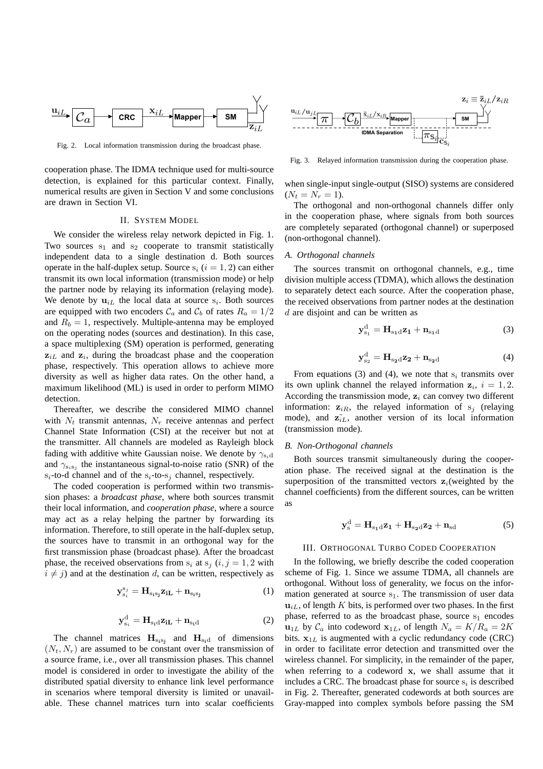

Fig. 2. Local information transmission during the broadcast phase.

cooperation phase. The IDMA technique used for multi-source detection, is explained for this particular context. Finally, numerical results are given in Section V and some conclusions are drawn in Section VI.

#### II. SYSTEM MODEL

We consider the wireless relay network depicted in Fig. 1. Two sources  $s_1$  and  $s_2$  cooperate to transmit statistically independent data to a single destination d. Both sources operate in the half-duplex setup. Source  $s_i$  ( $i = 1, 2$ ) can either transmit its own local information (transmission mode) or help the partner node by relaying its information (relaying mode). We denote by  $\mathbf{u}_{iL}$  the local data at source  $s_i$ . Both sources are equipped with two encoders  $\mathcal{C}_a$  and  $\mathcal{C}_b$  of rates  $R_a = 1/2$ and  $R_b = 1$ , respectively. Multiple-antenna may be employed on the operating nodes (sources and destination). In this case, a space multiplexing (SM) operation is performed, generating  $z_{iL}$  and  $z_i$ , during the broadcast phase and the cooperation phase, respectively. This operation allows to achieve more diversity as well as higher data rates. On the other hand, a maximum likelihood (ML) is used in order to perform MIMO detection.

Thereafter, we describe the considered MIMO channel with  $N_t$  transmit antennas,  $N_r$  receive antennas and perfect Channel State Information (CSI) at the receiver but not at the transmitter. All channels are modeled as Rayleigh block fading with additive white Gaussian noise. We denote by  $\gamma_{s,d}$ and  $\gamma_{s_i s_j}$  the instantaneous signal-to-noise ratio (SNR) of the  $s_i$ -to-d channel and of the  $s_i$ -to- $s_i$  channel, respectively.

The coded cooperation is performed within two transmission phases: a *broadcast phase*, where both sources transmit their local information, and *cooperation phase*, where a source may act as a relay helping the partner by forwarding its information. Therefore, to still operate in the half-duplex setup, the sources have to transmit in an orthogonal way for the first transmission phase (broadcast phase). After the broadcast phase, the received observations from  $s_i$  at  $s_j$  (i, j = 1, 2 with  $i \neq j$ ) and at the destination d, can be written, respectively as

$$
\mathbf{y}_{s_i}^{s_j} = \mathbf{H}_{s_i s_j} \mathbf{z}_{i\mathbf{L}} + \mathbf{n}_{s_i s_j} \tag{1}
$$

$$
\mathbf{y}_{s_i}^d = \mathbf{H}_{s_i d} \mathbf{z}_{iL} + \mathbf{n}_{s_i d} \tag{2}
$$

The channel matrices  $H_{s_1s_j}$  and  $H_{s_i d}$  of dimensions  $(N_t, N_r)$  are assumed to be constant over the transmission of a source frame, i.e., over all transmission phases. This channel model is considered in order to investigate the ability of the distributed spatial diversity to enhance link level performance in scenarios where temporal diversity is limited or unavailable. These channel matrices turn into scalar coefficients



Fig. 3. Relayed information transmission during the cooperation phase.

when single-input single-output (SISO) systems are considered  $(N_t = N_r = 1).$ 

The orthogonal and non-orthogonal channels differ only in the cooperation phase, where signals from both sources are completely separated (orthogonal channel) or superposed (non-orthogonal channel).

#### *A. Orthogonal channels*

The sources transmit on orthogonal channels, e.g., time division multiple access (TDMA), which allows the destination to separately detect each source. After the cooperation phase, the received observations from partner nodes at the destination d are disjoint and can be written as

$$
\mathbf{y}_{s_1}^d = \mathbf{H}_{s_1d}\mathbf{z}_1 + \mathbf{n}_{s_1d} \tag{3}
$$

$$
\mathbf{y}_{s_2}^d = \mathbf{H}_{s_2d} \mathbf{z}_2 + \mathbf{n}_{s_2d} \tag{4}
$$

From equations (3) and (4), we note that  $s_i$  transmits over its own uplink channel the relayed information  $z_i$ ,  $i = 1, 2$ . According the transmission mode,  $z_i$  can convey two different information:  $z_{iR}$ , the relayed information of s<sub>i</sub> (relaying mode), and  $\mathbf{z}_{iL}$ , another version of its local information (transmission mode).

#### *B. Non-Orthogonal channels*

Both sources transmit simultaneously during the cooperation phase. The received signal at the destination is the superposition of the transmitted vectors  $z_i$  (weighted by the channel coefficients) from the different sources, can be written as

$$
\mathbf{y}_{\mathrm{s}}^{\mathrm{d}} = \mathbf{H}_{\mathrm{s}_1\mathrm{d}}\mathbf{z}_1 + \mathbf{H}_{\mathrm{s}_2\mathrm{d}}\mathbf{z}_2 + \mathbf{n}_{\mathrm{sd}} \tag{5}
$$

#### III. ORTHOGONAL TURBO CODED COOPERATION

In the following, we briefly describe the coded cooperation scheme of Fig. 1. Since we assume TDMA, all channels are orthogonal. Without loss of generality, we focus on the information generated at source  $s_1$ . The transmission of user data  $\mathbf{u}_{iL}$ , of length K bits, is performed over two phases. In the first phase, referred to as the broadcast phase, source  $s_1$  encodes  $u_{1L}$  by  $C_a$  into codeword  $x_{1L}$ , of length  $N_a = K/R_a = 2K$ bits.  $x_{1L}$  is augmented with a cyclic redundancy code (CRC) in order to facilitate error detection and transmitted over the wireless channel. For simplicity, in the remainder of the paper, when referring to a codeword x, we shall assume that it includes a CRC. The broadcast phase for source  $s_i$  is described in Fig. 2. Thereafter, generated codewords at both sources are Gray-mapped into complex symbols before passing the SM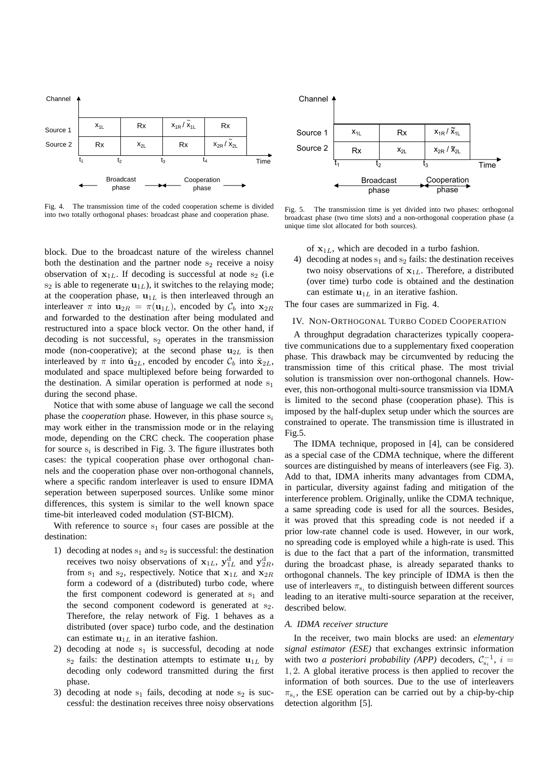

Fig. 4. The transmission time of the coded cooperation scheme is divided into two totally orthogonal phases: broadcast phase and cooperation phase.

block. Due to the broadcast nature of the wireless channel both the destination and the partner node  $s_2$  receive a noisy observation of  $x_{1L}$ . If decoding is successful at node s<sub>2</sub> (i.e.  $s_2$  is able to regenerate  $\mathbf{u}_{1L}$ ), it switches to the relaying mode; at the cooperation phase,  $\mathbf{u}_{1L}$  is then interleaved through an interleaver  $\pi$  into  $\mathbf{u}_{2R} = \pi(\mathbf{u}_{1L})$ , encoded by  $\mathcal{C}_b$  into  $\mathbf{x}_{2R}$ and forwarded to the destination after being modulated and restructured into a space block vector. On the other hand, if decoding is not successful,  $s_2$  operates in the transmission mode (non-cooperative); at the second phase  $u_{2L}$  is then interleaved by  $\pi$  into  $\tilde{\mathbf{u}}_{2L}$ , encoded by encoder  $\mathcal{C}_b$  into  $\tilde{\mathbf{x}}_{2L}$ , modulated and space multiplexed before being forwarded to the destination. A similar operation is performed at node  $s_1$ during the second phase.

Notice that with some abuse of language we call the second phase the *cooperation* phase. However, in this phase source  $s_i$ may work either in the transmission mode or in the relaying mode, depending on the CRC check. The cooperation phase for source  $s_i$  is described in Fig. 3. The figure illustrates both cases: the typical cooperation phase over orthogonal channels and the cooperation phase over non-orthogonal channels, where a specific random interleaver is used to ensure IDMA seperation between superposed sources. Unlike some minor differences, this system is similar to the well known space time-bit interleaved coded modulation (ST-BICM).

With reference to source  $s_1$  four cases are possible at the destination:

- 1) decoding at nodes  $s_1$  and  $s_2$  is successful: the destination receives two noisy observations of  $x_{1L}$ ,  $y_{1L}^d$  and  $y_{2R}^d$ , from  $s_1$  and  $s_2$ , respectively. Notice that  $x_{1L}$  and  $x_{2R}$ form a codeword of a (distributed) turbo code, where the first component codeword is generated at  $s_1$  and the second component codeword is generated at  $s<sub>2</sub>$ . Therefore, the relay network of Fig. 1 behaves as a distributed (over space) turbo code, and the destination can estimate  $\mathbf{u}_{1L}$  in an iterative fashion.
- 2) decoding at node  $s_1$  is successful, decoding at node  $s_2$  fails: the destination attempts to estimate  $u_{1L}$  by decoding only codeword transmitted during the first phase.
- 3) decoding at node  $s_1$  fails, decoding at node  $s_2$  is successful: the destination receives three noisy observations



Fig. 5. The transmission time is yet divided into two phases: orthogonal broadcast phase (two time slots) and a non-orthogonal cooperation phase (a unique time slot allocated for both sources).

of  $x_{1L}$ , which are decoded in a turbo fashion.

4) decoding at nodes  $s_1$  and  $s_2$  fails: the destination receives two noisy observations of  $x_{1L}$ . Therefore, a distributed (over time) turbo code is obtained and the destination can estimate  $\mathbf{u}_{1L}$  in an iterative fashion.

The four cases are summarized in Fig. 4.

### IV. NON-ORTHOGONAL TURBO CODED COOPERATION

A throughput degradation characterizes typically cooperative communications due to a supplementary fixed cooperation phase. This drawback may be circumvented by reducing the transmission time of this critical phase. The most trivial solution is transmission over non-orthogonal channels. However, this non-orthogonal multi-source transmission via IDMA is limited to the second phase (cooperation phase). This is imposed by the half-duplex setup under which the sources are constrained to operate. The transmission time is illustrated in Fig.5.

The IDMA technique, proposed in [4], can be considered as a special case of the CDMA technique, where the different sources are distinguished by means of interleavers (see Fig. 3). Add to that, IDMA inherits many advantages from CDMA, in particular, diversity against fading and mitigation of the interference problem. Originally, unlike the CDMA technique, a same spreading code is used for all the sources. Besides, it was proved that this spreading code is not needed if a prior low-rate channel code is used. However, in our work, no spreading code is employed while a high-rate is used. This is due to the fact that a part of the information, transmitted during the broadcast phase, is already separated thanks to orthogonal channels. The key principle of IDMA is then the use of interleavers  $\pi_{s_i}$  to distinguish between different sources leading to an iterative multi-source separation at the receiver, described below.

#### *A. IDMA receiver structure*

In the receiver, two main blocks are used: an *elementary signal estimator (ESE)* that exchanges extrinsic information with two *a posteriori probability (APP)* decoders,  $C_{s_i}^{-1}$ ,  $i =$ 1, 2. A global iterative process is then applied to recover the information of both sources. Due to the use of interleavers  $\pi_{s_i}$ , the ESE operation can be carried out by a chip-by-chip detection algorithm [5].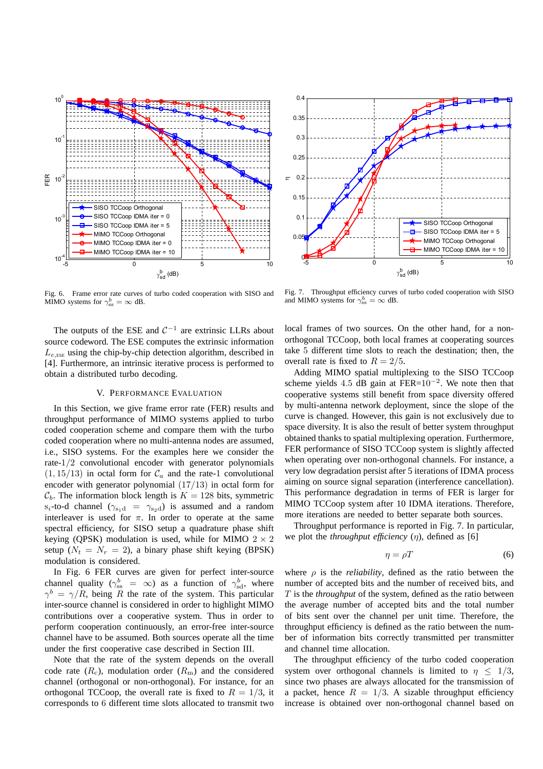



Fig. 6. Frame error rate curves of turbo coded cooperation with SISO and MIMO systems for  $\gamma_{\rm ss}^b = \infty$  dB.

The outputs of the ESE and  $C^{-1}$  are extrinsic LLRs about source codeword. The ESE computes the extrinsic information  $L_{e,ESE}$  using the chip-by-chip detection algorithm, described in [4]. Furthermore, an intrinsic iterative process is performed to obtain a distributed turbo decoding.

#### V. PERFORMANCE EVALUATION

In this Section, we give frame error rate (FER) results and throughput performance of MIMO systems applied to turbo coded cooperation scheme and compare them with the turbo coded cooperation where no multi-antenna nodes are assumed, i.e., SISO systems. For the examples here we consider the rate-1/2 convolutional encoder with generator polynomials  $(1, 15/13)$  in octal form for  $C_a$  and the rate-1 convolutional encoder with generator polynomial (17/13) in octal form for  $C_b$ . The information block length is  $K = 128$  bits, symmetric s<sub>i</sub>-to-d channel ( $\gamma_{s_1d} = \gamma_{s_2d}$ ) is assumed and a random interleaver is used for  $\pi$ . In order to operate at the same spectral efficiency, for SISO setup a quadrature phase shift keying (QPSK) modulation is used, while for MIMO  $2 \times 2$ setup ( $N_t = N_r = 2$ ), a binary phase shift keying (BPSK) modulation is considered.

In Fig. 6 FER curves are given for perfect inter-source channel quality ( $\gamma_{ss}^b = \infty$ ) as a function of  $\gamma_{sd}^b$ , where  $\gamma^{b} = \gamma/R$ , being R the rate of the system. This particular inter-source channel is considered in order to highlight MIMO contributions over a cooperative system. Thus in order to perform cooperation continuously, an error-free inter-source channel have to be assumed. Both sources operate all the time under the first cooperative case described in Section III.

Note that the rate of the system depends on the overall code rate  $(R_c)$ , modulation order  $(R_m)$  and the considered channel (orthogonal or non-orthogonal). For instance, for an orthogonal TCCoop, the overall rate is fixed to  $R = 1/3$ , it corresponds to 6 different time slots allocated to transmit two

Fig. 7. Throughput efficiency curves of turbo coded cooperation with SISO and MIMO systems for  $\gamma_{\rm ss}^b = \infty$  dB.

local frames of two sources. On the other hand, for a nonorthogonal TCCoop, both local frames at cooperating sources take 5 different time slots to reach the destination; then, the overall rate is fixed to  $R = 2/5$ .

Adding MIMO spatial multiplexing to the SISO TCCoop scheme yields 4.5 dB gain at  $FER=10^{-2}$ . We note then that cooperative systems still benefit from space diversity offered by multi-antenna network deployment, since the slope of the curve is changed. However, this gain is not exclusively due to space diversity. It is also the result of better system throughput obtained thanks to spatial multiplexing operation. Furthermore, FER performance of SISO TCCoop system is slightly affected when operating over non-orthogonal channels. For instance, a very low degradation persist after 5 iterations of IDMA process aiming on source signal separation (interference cancellation). This performance degradation in terms of FER is larger for MIMO TCCoop system after 10 IDMA iterations. Therefore, more iterations are needed to better separate both sources.

Throughput performance is reported in Fig. 7. In particular, we plot the *throughput efficiency*  $(\eta)$ , defined as [6]

$$
\eta = \rho T \tag{6}
$$

where  $\rho$  is the *reliability*, defined as the ratio between the number of accepted bits and the number of received bits, and T is the *throughput* of the system, defined as the ratio between the average number of accepted bits and the total number of bits sent over the channel per unit time. Therefore, the throughput efficiency is defined as the ratio between the number of information bits correctly transmitted per transmitter and channel time allocation.

The throughput efficiency of the turbo coded cooperation system over orthogonal channels is limited to  $\eta \leq 1/3$ , since two phases are always allocated for the transmission of a packet, hence  $R = 1/3$ . A sizable throughput efficiency increase is obtained over non-orthogonal channel based on